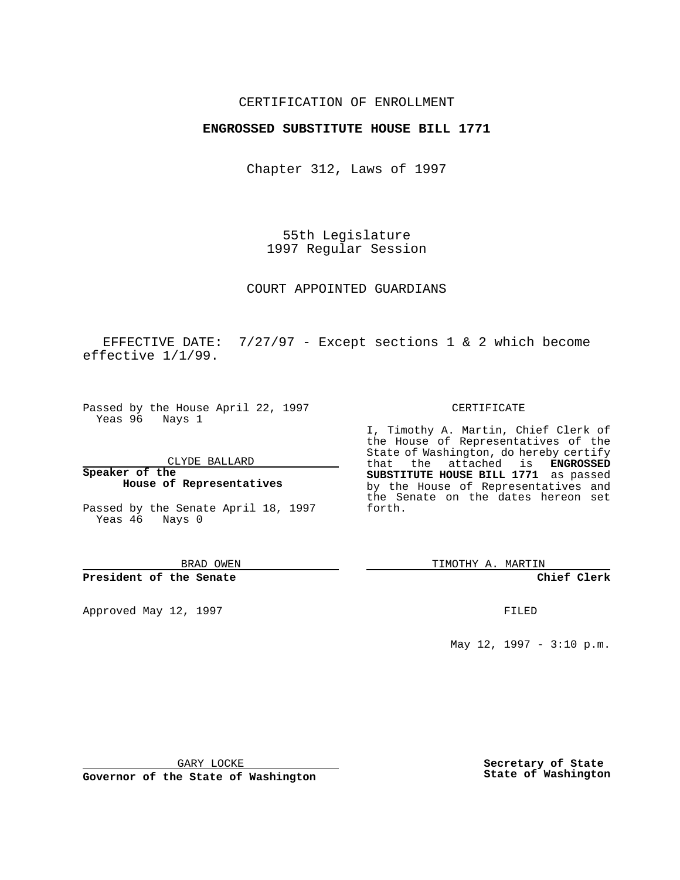## CERTIFICATION OF ENROLLMENT

## **ENGROSSED SUBSTITUTE HOUSE BILL 1771**

Chapter 312, Laws of 1997

55th Legislature 1997 Regular Session

COURT APPOINTED GUARDIANS

EFFECTIVE DATE:  $7/27/97$  - Except sections 1 & 2 which become effective 1/1/99.

Passed by the House April 22, 1997 Yeas 96 Nays 1

CLYDE BALLARD

**Speaker of the House of Representatives**

Passed by the Senate April 18, 1997 Yeas 46 Nays 0

BRAD OWEN

**President of the Senate**

Approved May 12, 1997 **FILED** 

#### CERTIFICATE

I, Timothy A. Martin, Chief Clerk of the House of Representatives of the State of Washington, do hereby certify that the attached is **ENGROSSED SUBSTITUTE HOUSE BILL 1771** as passed by the House of Representatives and the Senate on the dates hereon set forth.

TIMOTHY A. MARTIN

#### **Chief Clerk**

May 12, 1997 - 3:10 p.m.

GARY LOCKE

**Governor of the State of Washington**

**Secretary of State State of Washington**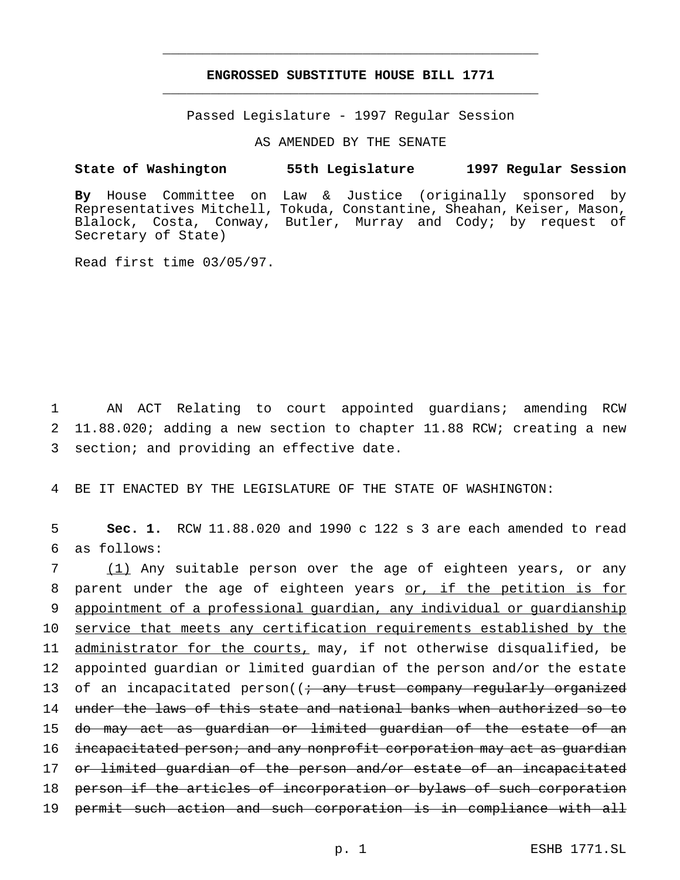# **ENGROSSED SUBSTITUTE HOUSE BILL 1771** \_\_\_\_\_\_\_\_\_\_\_\_\_\_\_\_\_\_\_\_\_\_\_\_\_\_\_\_\_\_\_\_\_\_\_\_\_\_\_\_\_\_\_\_\_\_\_

\_\_\_\_\_\_\_\_\_\_\_\_\_\_\_\_\_\_\_\_\_\_\_\_\_\_\_\_\_\_\_\_\_\_\_\_\_\_\_\_\_\_\_\_\_\_\_

Passed Legislature - 1997 Regular Session

AS AMENDED BY THE SENATE

#### **State of Washington 55th Legislature 1997 Regular Session**

**By** House Committee on Law & Justice (originally sponsored by Representatives Mitchell, Tokuda, Constantine, Sheahan, Keiser, Mason, Blalock, Costa, Conway, Butler, Murray and Cody; by request of Secretary of State)

Read first time 03/05/97.

1 AN ACT Relating to court appointed guardians; amending RCW 2 11.88.020; adding a new section to chapter 11.88 RCW; creating a new 3 section; and providing an effective date.

4 BE IT ENACTED BY THE LEGISLATURE OF THE STATE OF WASHINGTON:

5 **Sec. 1.** RCW 11.88.020 and 1990 c 122 s 3 are each amended to read 6 as follows:

 (1) Any suitable person over the age of eighteen years, or any parent under the age of eighteen years or, if the petition is for appointment of a professional guardian, any individual or guardianship service that meets any certification requirements established by the 11 administrator for the courts, may, if not otherwise disqualified, be appointed guardian or limited guardian of the person and/or the estate 13 of an incapacitated person((<del>; any trust company regularly organized</del> under the laws of this state and national banks when authorized so to do may act as guardian or limited guardian of the estate of an 16 incapacitated person; and any nonprofit corporation may act as quardian 17 or limited guardian of the person and/or estate of an incapacitated 18 person if the articles of incorporation or bylaws of such corporation permit such action and such corporation is in compliance with all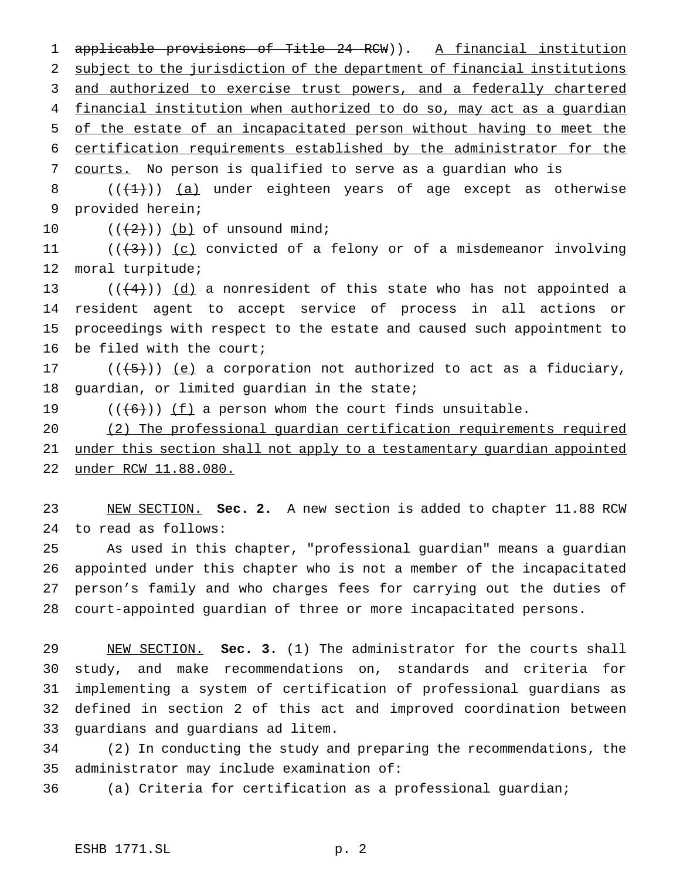1 applicable provisions of Title 24 RCW)). A financial institution subject to the jurisdiction of the department of financial institutions 3 and authorized to exercise trust powers, and a federally chartered financial institution when authorized to do so, may act as a guardian of the estate of an incapacitated person without having to meet the certification requirements established by the administrator for the courts. No person is qualified to serve as a guardian who is

8  $((+1))$   $(a)$  under eighteen years of age except as otherwise provided herein;

10  $((+2)^{n})$  (b) of unsound mind;

 $((+3))$   $(c)$  convicted of a felony or of a misdemeanor involving moral turpitude;

 $((+4))$   $(d)$  a nonresident of this state who has not appointed a resident agent to accept service of process in all actions or proceedings with respect to the estate and caused such appointment to be filed with the court;

17  $((+5))$   $(e)$  a corporation not authorized to act as a fiduciary, guardian, or limited guardian in the state;

19  $((+6))$   $(f)$  a person whom the court finds unsuitable.

 (2) The professional guardian certification requirements required under this section shall not apply to a testamentary guardian appointed under RCW 11.88.080.

 NEW SECTION. **Sec. 2.** A new section is added to chapter 11.88 RCW to read as follows:

 As used in this chapter, "professional guardian" means a guardian appointed under this chapter who is not a member of the incapacitated person's family and who charges fees for carrying out the duties of court-appointed guardian of three or more incapacitated persons.

 NEW SECTION. **Sec. 3.** (1) The administrator for the courts shall study, and make recommendations on, standards and criteria for implementing a system of certification of professional guardians as defined in section 2 of this act and improved coordination between guardians and guardians ad litem.

 (2) In conducting the study and preparing the recommendations, the administrator may include examination of:

(a) Criteria for certification as a professional guardian;

## ESHB 1771.SL p. 2